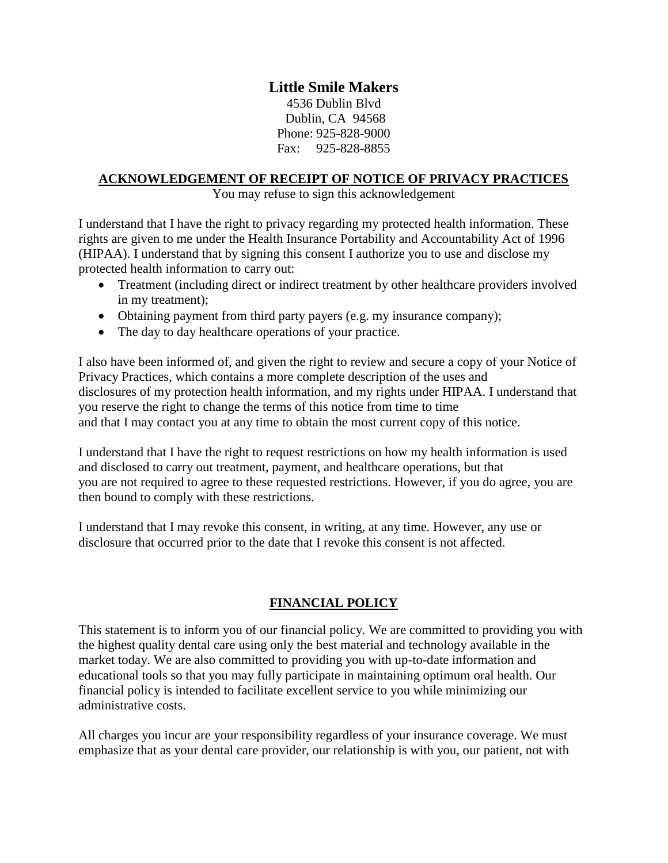# **Little Smile Makers**

4536 Dublin Blvd Dublin, CA 94568 Phone: 925-828-9000 Fax: 925-828-8855

#### **ACKNOWLEDGEMENT OF RECEIPT OF NOTICE OF PRIVACY PRACTICES**

You may refuse to sign this acknowledgement

I understand that I have the right to privacy regarding my protected health information. These rights are given to me under the Health Insurance Portability and Accountability Act of 1996 (HIPAA). I understand that by signing this consent I authorize you to use and disclose my protected health information to carry out:

- Treatment (including direct or indirect treatment by other healthcare providers involved in my treatment);
- Obtaining payment from third party payers (e.g. my insurance company);
- The day to day healthcare operations of your practice.

I also have been informed of, and given the right to review and secure a copy of your Notice of Privacy Practices, which contains a more complete description of the uses and disclosures of my protection health information, and my rights under HIPAA. I understand that you reserve the right to change the terms of this notice from time to time and that I may contact you at any time to obtain the most current copy of this notice.

I understand that I have the right to request restrictions on how my health information is used and disclosed to carry out treatment, payment, and healthcare operations, but that you are not required to agree to these requested restrictions. However, if you do agree, you are then bound to comply with these restrictions.

I understand that I may revoke this consent, in writing, at any time. However, any use or disclosure that occurred prior to the date that I revoke this consent is not affected.

### **FINANCIAL POLICY**

This statement is to inform you of our financial policy. We are committed to providing you with the highest quality dental care using only the best material and technology available in the market today. We are also committed to providing you with up-to-date information and educational tools so that you may fully participate in maintaining optimum oral health. Our financial policy is intended to facilitate excellent service to you while minimizing our administrative costs.

All charges you incur are your responsibility regardless of your insurance coverage. We must emphasize that as your dental care provider, our relationship is with you, our patient, not with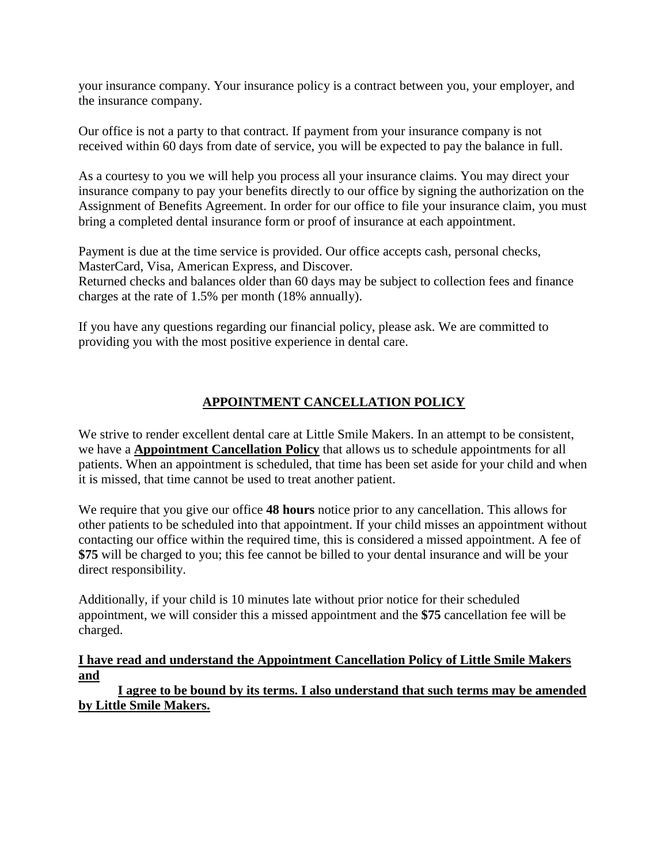your insurance company. Your insurance policy is a contract between you, your employer, and the insurance company.

Our office is not a party to that contract. If payment from your insurance company is not received within 60 days from date of service, you will be expected to pay the balance in full.

As a courtesy to you we will help you process all your insurance claims. You may direct your insurance company to pay your benefits directly to our office by signing the authorization on the Assignment of Benefits Agreement. In order for our office to file your insurance claim, you must bring a completed dental insurance form or proof of insurance at each appointment.

Payment is due at the time service is provided. Our office accepts cash, personal checks, MasterCard, Visa, American Express, and Discover. Returned checks and balances older than 60 days may be subject to collection fees and finance charges at the rate of 1.5% per month (18% annually).

If you have any questions regarding our financial policy, please ask. We are committed to providing you with the most positive experience in dental care.

# **APPOINTMENT CANCELLATION POLICY**

We strive to render excellent dental care at Little Smile Makers. In an attempt to be consistent, we have a **Appointment Cancellation Policy** that allows us to schedule appointments for all patients. When an appointment is scheduled, that time has been set aside for your child and when it is missed, that time cannot be used to treat another patient.

We require that you give our office **48 hours** notice prior to any cancellation. This allows for other patients to be scheduled into that appointment. If your child misses an appointment without contacting our office within the required time, this is considered a missed appointment. A fee of **\$75** will be charged to you; this fee cannot be billed to your dental insurance and will be your direct responsibility.

Additionally, if your child is 10 minutes late without prior notice for their scheduled appointment, we will consider this a missed appointment and the **\$75** cancellation fee will be charged.

### **I have read and understand the Appointment Cancellation Policy of Little Smile Makers and**

**I agree to be bound by its terms. I also understand that such terms may be amended by Little Smile Makers.**